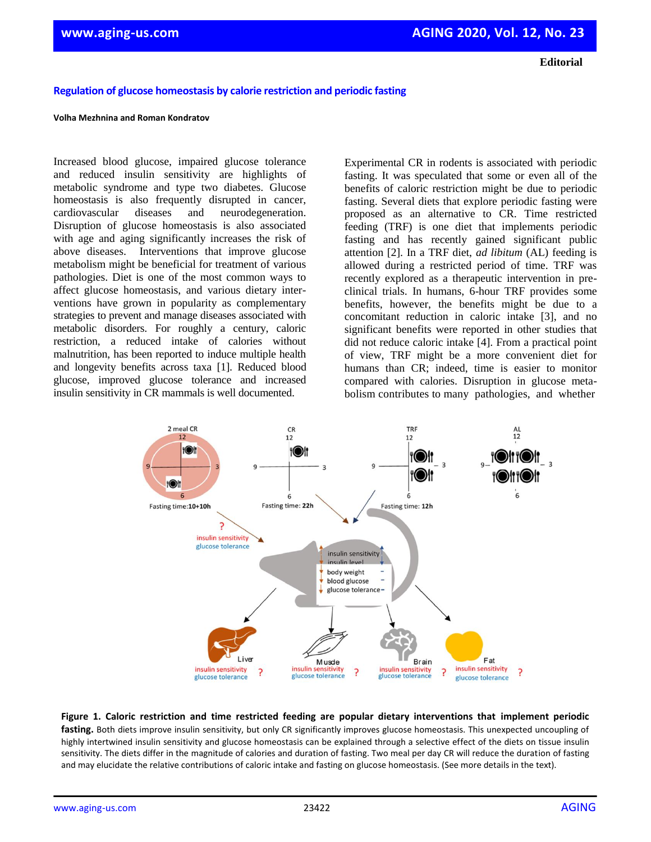**Editorial**

## **Regulation of glucose homeostasis by calorie restriction and periodic fasting**

## **Volha Mezhnina and Roman Kondratov**

Increased blood glucose, impaired glucose tolerance and reduced insulin sensitivity are highlights of metabolic syndrome and type two diabetes. Glucose homeostasis is also frequently disrupted in cancer, cardiovascular diseases and neurodegeneration. Disruption of glucose homeostasis is also associated with age and aging significantly increases the risk of above diseases. Interventions that improve glucose metabolism might be beneficial for treatment of various pathologies. Diet is one of the most common ways to affect glucose homeostasis, and various dietary interventions have grown in popularity as complementary strategies to prevent and manage diseases associated with metabolic disorders. For roughly a century, caloric restriction, a reduced intake of calories without malnutrition, has been reported to induce multiple health and longevity benefits across taxa [1]. Reduced blood glucose, improved glucose tolerance and increased insulin sensitivity in CR mammals is well documented.

Experimental CR in rodents is associated with periodic fasting. It was speculated that some or even all of the benefits of caloric restriction might be due to periodic fasting. Several diets that explore periodic fasting were proposed as an alternative to CR. Time restricted feeding (TRF) is one diet that implements periodic fasting and has recently gained significant public attention [2]. In a TRF diet, *ad libitum* (AL) feeding is allowed during a restricted period of time. TRF was recently explored as a therapeutic intervention in preclinical trials. In humans, 6-hour TRF provides some benefits, however, the benefits might be due to a concomitant reduction in caloric intake [3], and no significant benefits were reported in other studies that did not reduce caloric intake [4]. From a practical point of view, TRF might be a more convenient diet for humans than CR; indeed, time is easier to monitor compared with calories. Disruption in glucose metabolism contributes to many pathologies, and whether



**Figure 1. Caloric restriction and time restricted feeding are popular dietary interventions that implement periodic**  fasting. Both diets improve insulin sensitivity, but only CR significantly improves glucose homeostasis. This unexpected uncoupling of highly intertwined insulin sensitivity and glucose homeostasis can be explained through a selective effect of the diets on tissue insulin sensitivity. The diets differ in the magnitude of calories and duration of fasting. Two meal per day CR will reduce the duration of fasting and may elucidate the relative contributions of caloric intake and fasting on glucose homeostasis. (See more details in the text).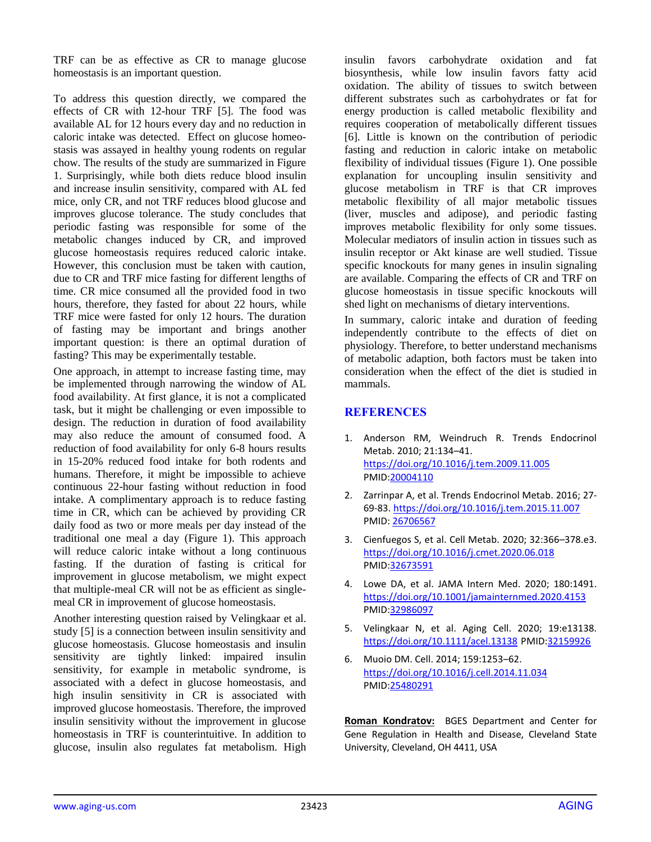TRF can be as effective as CR to manage glucose homeostasis is an important question.

To address this question directly, we compared the effects of CR with 12-hour TRF [5]. The food was available AL for 12 hours every day and no reduction in caloric intake was detected. Effect on glucose homeostasis was assayed in healthy young rodents on regular chow. The results of the study are summarized in Figure 1. Surprisingly, while both diets reduce blood insulin and increase insulin sensitivity, compared with AL fed mice, only CR, and not TRF reduces blood glucose and improves glucose tolerance. The study concludes that periodic fasting was responsible for some of the metabolic changes induced by CR, and improved glucose homeostasis requires reduced caloric intake. However, this conclusion must be taken with caution, due to CR and TRF mice fasting for different lengths of time. CR mice consumed all the provided food in two hours, therefore, they fasted for about 22 hours, while TRF mice were fasted for only 12 hours. The duration of fasting may be important and brings another important question: is there an optimal duration of fasting? This may be experimentally testable.

One approach, in attempt to increase fasting time, may be implemented through narrowing the window of AL food availability. At first glance, it is not a complicated task, but it might be challenging or even impossible to design. The reduction in duration of food availability may also reduce the amount of consumed food. A reduction of food availability for only 6-8 hours results in 15-20% reduced food intake for both rodents and humans. Therefore, it might be impossible to achieve continuous 22-hour fasting without reduction in food intake. A complimentary approach is to reduce fasting time in CR, which can be achieved by providing CR daily food as two or more meals per day instead of the traditional one meal a day (Figure 1). This approach will reduce caloric intake without a long continuous fasting. If the duration of fasting is critical for improvement in glucose metabolism, we might expect that multiple-meal CR will not be as efficient as singlemeal CR in improvement of glucose homeostasis.

Another interesting question raised by Velingkaar et al. study [5] is a connection between insulin sensitivity and glucose homeostasis. Glucose homeostasis and insulin sensitivity are tightly linked: impaired insulin sensitivity, for example in metabolic syndrome, is associated with a defect in glucose homeostasis, and high insulin sensitivity in CR is associated with improved glucose homeostasis. Therefore, the improved insulin sensitivity without the improvement in glucose homeostasis in TRF is counterintuitive. In addition to glucose, insulin also regulates fat metabolism. High

insulin favors carbohydrate oxidation and fat biosynthesis, while low insulin favors fatty acid oxidation. The ability of tissues to switch between different substrates such as carbohydrates or fat for energy production is called metabolic flexibility and requires cooperation of metabolically different tissues [6]. Little is known on the contribution of periodic fasting and reduction in caloric intake on metabolic flexibility of individual tissues (Figure 1). One possible explanation for uncoupling insulin sensitivity and glucose metabolism in TRF is that CR improves metabolic flexibility of all major metabolic tissues (liver, muscles and adipose), and periodic fasting improves metabolic flexibility for only some tissues. Molecular mediators of insulin action in tissues such as insulin receptor or Akt kinase are well studied. Tissue specific knockouts for many genes in insulin signaling are available. Comparing the effects of CR and TRF on glucose homeostasis in tissue specific knockouts will shed light on mechanisms of dietary interventions.

In summary, caloric intake and duration of feeding independently contribute to the effects of diet on physiology. Therefore, to better understand mechanisms of metabolic adaption, both factors must be taken into consideration when the effect of the diet is studied in mammals.

## **REFERENCES**

- 1. Anderson RM, Weindruch R. Trends Endocrinol Metab. 2010; 21:134–41. <https://doi.org/10.1016/j.tem.2009.11.005> PMID[:20004110](https://www.ncbi.nlm.nih.gov/entrez/query.fcgi?cmd=Retrieve&db=PubMed&list_uids=20004110&dopt=Abstract)
- 2. Zarrinpar A, et al. Trends Endocrinol Metab. 2016; 27- 69-83.<https://doi.org/10.1016/j.tem.2015.11.007> PMID[: 26706567](https://pubmed.ncbi.nlm.nih.gov/26706567/)
- 3. Cienfuegos S, et al. Cell Metab. 2020; 32:366–378.e3. <https://doi.org/10.1016/j.cmet.2020.06.018> PMID[:32673591](https://www.ncbi.nlm.nih.gov/entrez/query.fcgi?cmd=Retrieve&db=PubMed&list_uids=32673591&dopt=Abstract)
- 4. Lowe DA, et al. JAMA Intern Med. 2020; 180:1491. <https://doi.org/10.1001/jamainternmed.2020.4153> PMID[:32986097](https://www.ncbi.nlm.nih.gov/entrez/query.fcgi?cmd=Retrieve&db=PubMed&list_uids=32986097&dopt=Abstract)
- 5. Velingkaar N, et al. Aging Cell. 2020; 19:e13138. <https://doi.org/10.1111/acel.13138> PMID[:32159926](https://www.ncbi.nlm.nih.gov/entrez/query.fcgi?cmd=Retrieve&db=PubMed&list_uids=32159926&dopt=Abstract)
- 6. Muoio DM. Cell. 2014; 159:1253–62. <https://doi.org/10.1016/j.cell.2014.11.034> PMID[:25480291](https://www.ncbi.nlm.nih.gov/entrez/query.fcgi?cmd=Retrieve&db=PubMed&list_uids=25480291&dopt=Abstract)

**Roman Kondratov:** BGES Department and Center for Gene Regulation in Health and Disease, Cleveland State University, Cleveland, OH 4411, USA